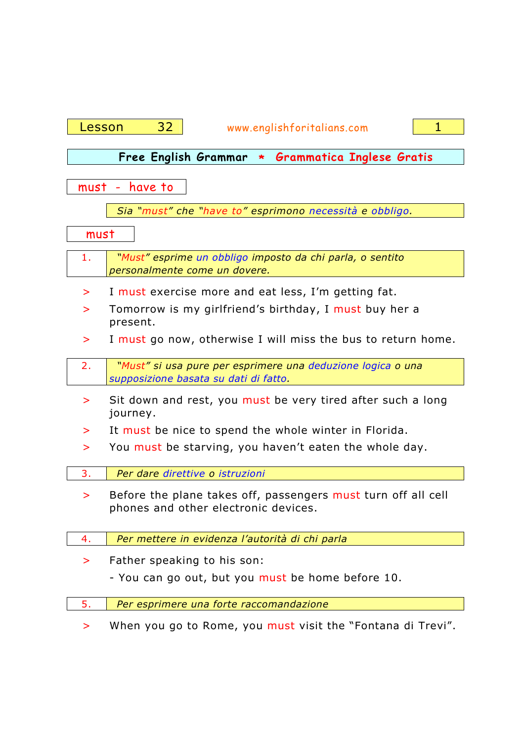| Lesson                                                                                           | 32<br>$\mathbf{1}$<br>www.englishforitalians.com                                                      |  |  |  |  |  |  |  |  |
|--------------------------------------------------------------------------------------------------|-------------------------------------------------------------------------------------------------------|--|--|--|--|--|--|--|--|
|                                                                                                  |                                                                                                       |  |  |  |  |  |  |  |  |
|                                                                                                  | Free English Grammar * Grammatica Inglese Gratis                                                      |  |  |  |  |  |  |  |  |
| have to<br>must -                                                                                |                                                                                                       |  |  |  |  |  |  |  |  |
|                                                                                                  | Sia "must" che "have to" esprimono necessità e obbligo.                                               |  |  |  |  |  |  |  |  |
| must                                                                                             |                                                                                                       |  |  |  |  |  |  |  |  |
| "Must" esprime un obbligo imposto da chi parla, o sentito<br>1.<br>personalmente come un dovere. |                                                                                                       |  |  |  |  |  |  |  |  |
| $\geq$                                                                                           | I must exercise more and eat less, I'm getting fat.                                                   |  |  |  |  |  |  |  |  |
| >                                                                                                | Tomorrow is my girlfriend's birthday, I must buy her a<br>present.                                    |  |  |  |  |  |  |  |  |
| $\geq$                                                                                           | I must go now, otherwise I will miss the bus to return home.                                          |  |  |  |  |  |  |  |  |
| 2.                                                                                               | "Must" si usa pure per esprimere una deduzione logica o una<br>supposizione basata su dati di fatto.  |  |  |  |  |  |  |  |  |
| >                                                                                                | Sit down and rest, you must be very tired after such a long<br>journey.                               |  |  |  |  |  |  |  |  |
| ⋗                                                                                                | It must be nice to spend the whole winter in Florida.                                                 |  |  |  |  |  |  |  |  |
| ⋗                                                                                                | You must be starving, you haven't eaten the whole day.                                                |  |  |  |  |  |  |  |  |
| 3.                                                                                               | Per dare direttive o istruzioni                                                                       |  |  |  |  |  |  |  |  |
|                                                                                                  | Before the plane takes off, passengers must turn off all cell<br>phones and other electronic devices. |  |  |  |  |  |  |  |  |
| 4.                                                                                               | Per mettere in evidenza l'autorità di chi parla                                                       |  |  |  |  |  |  |  |  |
| $\geq$                                                                                           | Father speaking to his son:                                                                           |  |  |  |  |  |  |  |  |
|                                                                                                  | - You can go out, but you must be home before 10.                                                     |  |  |  |  |  |  |  |  |
| 5.                                                                                               | Per esprimere una forte raccomandazione                                                               |  |  |  |  |  |  |  |  |
| ⋗                                                                                                | When you go to Rome, you must visit the "Fontana di Trevi".                                           |  |  |  |  |  |  |  |  |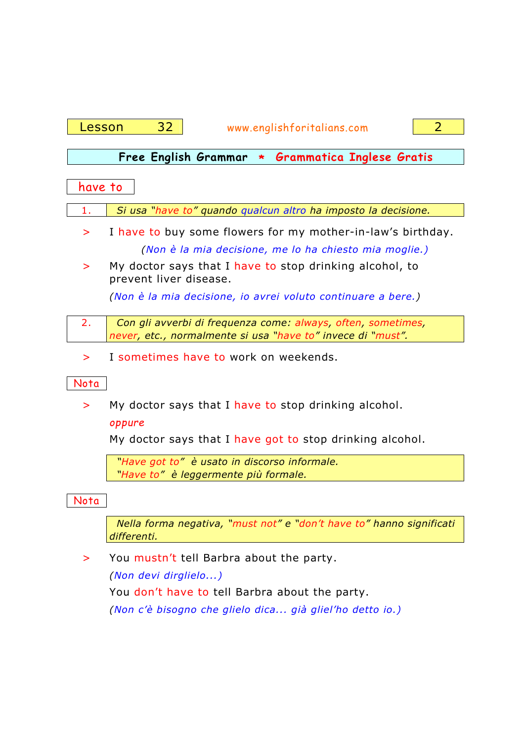| Lesson  | 32<br>2<br>www.englishforitalians.com                                                                                       |  |  |  |  |  |
|---------|-----------------------------------------------------------------------------------------------------------------------------|--|--|--|--|--|
|         | Free English Grammar * Grammatica Inglese Gratis                                                                            |  |  |  |  |  |
|         |                                                                                                                             |  |  |  |  |  |
| have to |                                                                                                                             |  |  |  |  |  |
| 1.      | Si usa "have to" quando qualcun altro ha imposto la decisione.                                                              |  |  |  |  |  |
| >       | I have to buy some flowers for my mother-in-law's birthday.                                                                 |  |  |  |  |  |
|         | (Non è la mia decisione, me lo ha chiesto mia moglie.)                                                                      |  |  |  |  |  |
| >       | My doctor says that I have to stop drinking alcohol, to<br>prevent liver disease.                                           |  |  |  |  |  |
|         | (Non è la mia decisione, io avrei voluto continuare a bere.)                                                                |  |  |  |  |  |
| 2.      | Con gli avverbi di frequenza come: always, often, sometimes,<br>never, etc., normalmente si usa "have to" invece di "must". |  |  |  |  |  |
| >       | I sometimes have to work on weekends.                                                                                       |  |  |  |  |  |
| Nota    |                                                                                                                             |  |  |  |  |  |
| >       | My doctor says that I have to stop drinking alcohol.<br>oppure                                                              |  |  |  |  |  |
|         | My doctor says that I have got to stop drinking alcohol.                                                                    |  |  |  |  |  |
|         | "Have got to" è usato in discorso informale.                                                                                |  |  |  |  |  |
|         | "Have to" è leggermente più formale.                                                                                        |  |  |  |  |  |
| Nota    |                                                                                                                             |  |  |  |  |  |
|         | Nella forma negativa, "must not" e "don't have to" hanno significati<br>differenti.                                         |  |  |  |  |  |
| >       | You mustn't tell Barbra about the party.                                                                                    |  |  |  |  |  |
|         | (Non devi dirglielo)                                                                                                        |  |  |  |  |  |
|         | You don't have to tell Barbra about the party.                                                                              |  |  |  |  |  |
|         | (Non c'è bisogno che glielo dica già gliel'ho detto io.)                                                                    |  |  |  |  |  |
|         |                                                                                                                             |  |  |  |  |  |
|         |                                                                                                                             |  |  |  |  |  |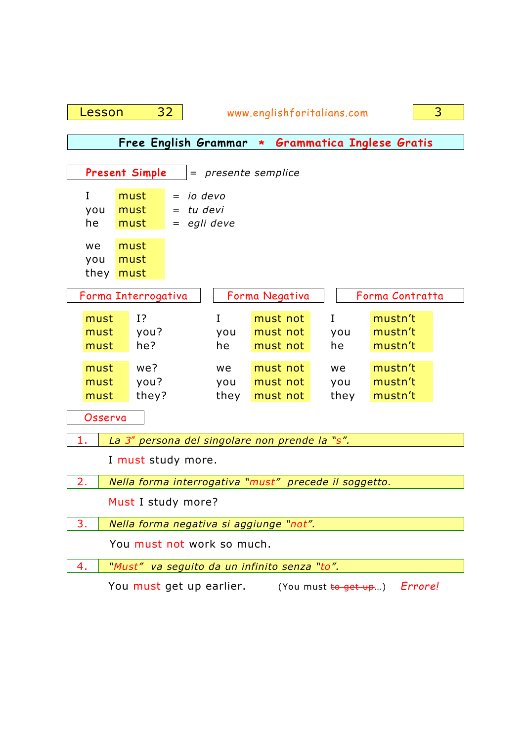| 3<br>32<br>www.englishforitalians.com<br>Lesson                   |                                                         |                   |                                  |                   |                               |  |  |
|-------------------------------------------------------------------|---------------------------------------------------------|-------------------|----------------------------------|-------------------|-------------------------------|--|--|
| Free English Grammar * Grammatica Inglese Gratis                  |                                                         |                   |                                  |                   |                               |  |  |
|                                                                   |                                                         |                   |                                  |                   |                               |  |  |
| <b>Present Simple</b><br>= presente semplice                      |                                                         |                   |                                  |                   |                               |  |  |
| I<br>you<br>he                                                    | must<br>io devo<br>must<br>tu devi<br>egli deve<br>must |                   |                                  |                   |                               |  |  |
| we<br>you<br>they                                                 | must<br>must<br>must                                    |                   |                                  |                   |                               |  |  |
|                                                                   | Forma Interrogativa                                     |                   | Forma Negativa                   |                   | Forma Contratta               |  |  |
| must<br>must<br>must                                              | 1?<br>you?<br>he?                                       | I<br>you<br>he    | must not<br>must not<br>must not | I<br>you<br>he    | mustn't<br>mustn't<br>mustn't |  |  |
| must<br>must<br>must                                              | we?<br>you?<br>they?                                    | we<br>you<br>they | must not<br>must not<br>must not | we<br>you<br>they | mustn't<br>mustn't<br>mustn't |  |  |
| Osserva                                                           |                                                         |                   |                                  |                   |                               |  |  |
| -1.<br>La 3 <sup>ª</sup> persona del singolare non prende la "s". |                                                         |                   |                                  |                   |                               |  |  |
| I must study more.                                                |                                                         |                   |                                  |                   |                               |  |  |
| 2.<br>Nella forma interrogativa "must" precede il soggetto.       |                                                         |                   |                                  |                   |                               |  |  |
| Must I study more?                                                |                                                         |                   |                                  |                   |                               |  |  |
| 3.<br>Nella forma negativa si aggiunge "not".                     |                                                         |                   |                                  |                   |                               |  |  |
| You must not work so much.                                        |                                                         |                   |                                  |                   |                               |  |  |
| 4.                                                                | "Must" va seguito da un infinito senza "to".            |                   |                                  |                   |                               |  |  |
| You must get up earlier.<br>Errore!<br>(You must to get up)       |                                                         |                   |                                  |                   |                               |  |  |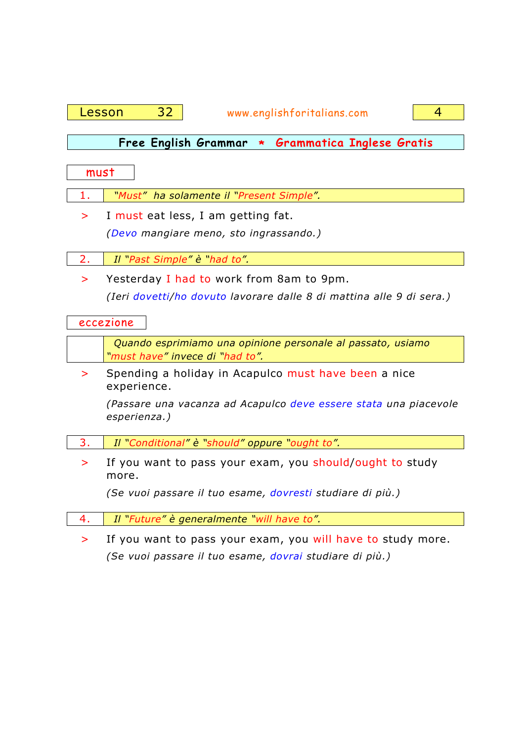

*(Se vuoi passare il tuo esame, dovrai studiare di più.)*